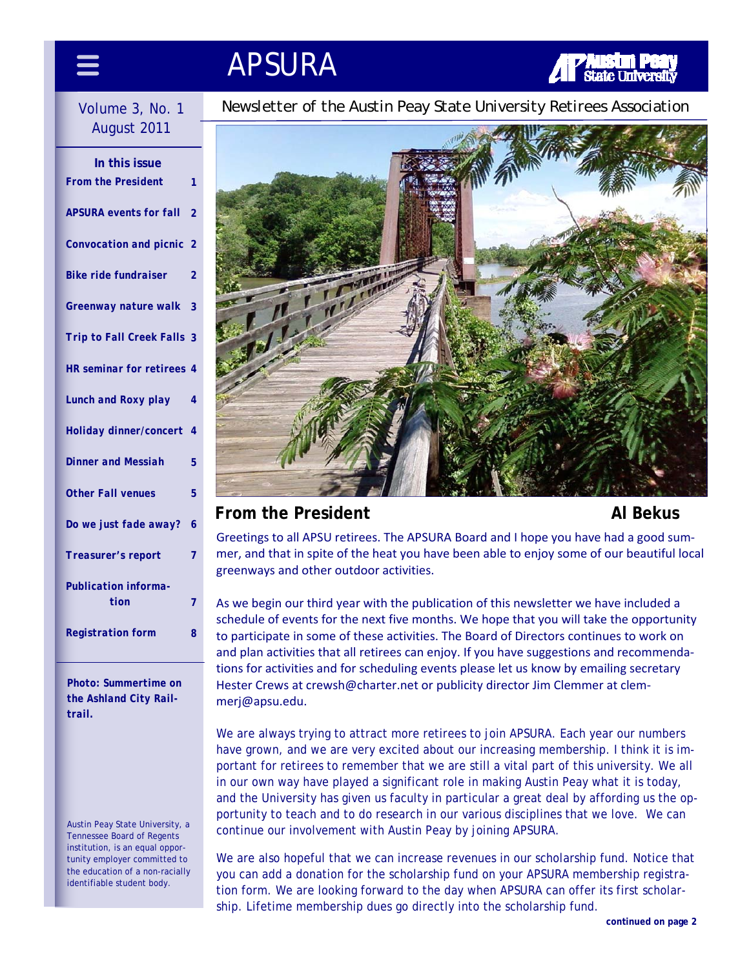## APSURA

# August 2011

| In this issue                       |                          |
|-------------------------------------|--------------------------|
| <b>From the President</b>           | 1                        |
| <b>APSURA</b> events for fall       | $\overline{2}$           |
| Convocation and picnic              | 2                        |
| <b>Bike ride fundraiser</b>         | 2                        |
| Greenway nature walk                | 3                        |
| <b>Trip to Fall Creek Falls</b>     | 3                        |
| HR seminar for retirees 4           |                          |
| <b>Lunch and Roxy play</b>          | 4                        |
| Holiday dinner/concert              | $\overline{\mathcal{A}}$ |
| <b>Dinner and Messiah</b>           | 5                        |
| <b>Other Fall venues</b>            | 5                        |
| Do we just fade away?               | 6                        |
| Treasurer's report                  | 7                        |
| <b>Publication informa-</b><br>tion | $\overline{7}$           |
| <b>Registration form</b>            | 8                        |

*Photo: Summertime on the Ashland City Railtrail.* 

Austin Peay State University, a Tennessee Board of Regents institution, is an equal opportunity employer committed to the education of a non-racially identifiable student body.

Volume 3, No. 1 *Newsletter of the Austin Peay State University Retirees Association* 



#### **From the President Al Bekus Al Bekus**

Greetings to all APSU retirees. The APSURA Board and I hope you have had a good sum‐ mer, and that in spite of the heat you have been able to enjoy some of our beautiful local greenways and other outdoor activities.

As we begin our third year with the publication of this newsletter we have included a schedule of events for the next five months. We hope that you will take the opportunity to participate in some of these activities. The Board of Directors continues to work on and plan activities that all retirees can enjoy. If you have suggestions and recommendations for activities and for scheduling events please let us know by emailing secretary Hester Crews at crewsh@charter.net or publicity director Jim Clemmer at clemmerj@apsu.edu.

We are always trying to attract more retirees to join APSURA. Each year our numbers have grown, and we are very excited about our increasing membership. I think it is important for retirees to remember that we are still a vital part of this university. We all in our own way have played a significant role in making Austin Peay what it is today, and the University has given us faculty in particular a great deal by affording us the opportunity to teach and to do research in our various disciplines that we love. We can continue our involvement with Austin Peay by joining APSURA.

We are also hopeful that we can increase revenues in our scholarship fund. Notice that you can add a donation for the scholarship fund on your APSURA membership registration form. We are looking forward to the day when APSURA can offer its first scholarship. Lifetime membership dues go directly into the scholarship fund.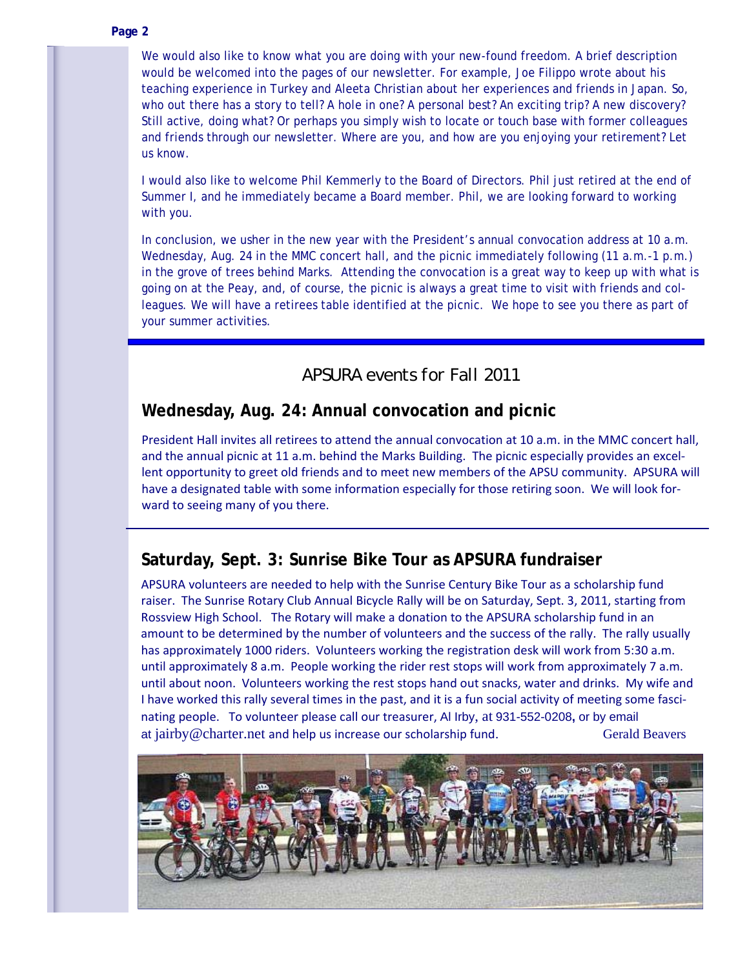#### **Page 2**

We would also like to know what you are doing with your new-found freedom. A brief description would be welcomed into the pages of our newsletter. For example, Joe Filippo wrote about his teaching experience in Turkey and Aleeta Christian about her experiences and friends in Japan. So, who out there has a story to tell? A hole in one? A personal best? An exciting trip? A new discovery? Still active, doing what? Or perhaps you simply wish to locate or touch base with former colleagues and friends through our newsletter. Where are you, and how are you enjoying your retirement? Let us know.

I would also like to welcome Phil Kemmerly to the Board of Directors. Phil just retired at the end of Summer I, and he immediately became a Board member. Phil, we are looking forward to working with you.

In conclusion, we usher in the new year with the President's annual convocation address at 10 a.m. Wednesday, Aug. 24 in the MMC concert hall, and the picnic immediately following (11 a.m.-1 p.m.) in the grove of trees behind Marks. Attending the convocation is a great way to keep up with what is going on at the Peay, and, of course, the picnic is always a great time to visit with friends and colleagues. We will have a retirees table identified at the picnic. We hope to see you there as part of your summer activities.

#### *APSURA events for Fall 2011*

#### **Wednesday, Aug. 24: Annual convocation and picnic**

President Hall invites all retirees to attend the annual convocation at 10 a.m. in the MMC concert hall, and the annual picnic at 11 a.m. behind the Marks Building. The picnic especially provides an excellent opportunity to greet old friends and to meet new members of the APSU community. APSURA will have a designated table with some information especially for those retiring soon. We will look forward to seeing many of you there.

#### **Saturday, Sept. 3: Sunrise Bike Tour as APSURA fundraiser**

APSURA volunteers are needed to help with the Sunrise Century Bike Tour as a scholarship fund raiser. The Sunrise Rotary Club Annual Bicycle Rally will be on Saturday, Sept. 3, 2011, starting from Rossview High School. The Rotary will make a donation to the APSURA scholarship fund in an amount to be determined by the number of volunteers and the success of the rally. The rally usually has approximately 1000 riders. Volunteers working the registration desk will work from 5:30 a.m. until approximately 8 a.m. People working the rider rest stops will work from approximately 7 a.m. until about noon. Volunteers working the rest stops hand out snacks, water and drinks. My wife and I have worked this rally several times in the past, and it is a fun social activity of meeting some fasci‐ nating people. To volunteer please call our treasurer, Al Irby, at 931-552-0208**,** or by email at jairby@charter.net and help us increase our scholarship fund. Gerald Beavers

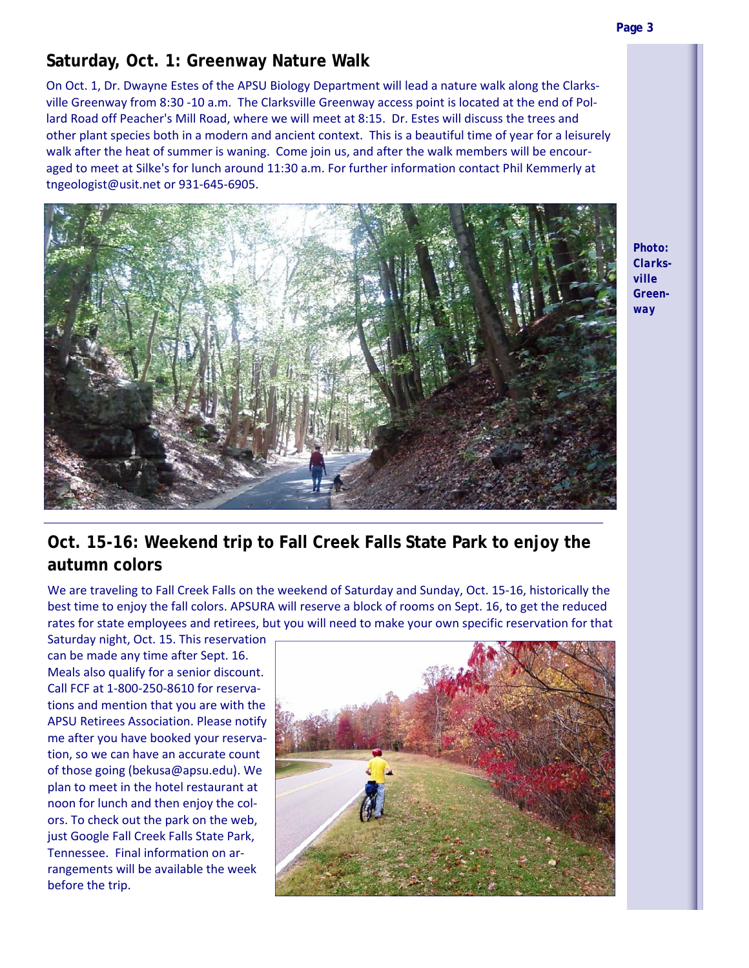### **Saturday, Oct. 1: Greenway Nature Walk**

On Oct. 1, Dr. Dwayne Estes of the APSU Biology Department will lead a nature walk along the Clarks‐ ville Greenway from 8:30 ‐10 a.m. The Clarksville Greenway access point is located at the end of Pol‐ lard Road off Peacher's Mill Road, where we will meet at 8:15. Dr. Estes will discuss the trees and other plant species both in a modern and ancient context. This is a beautiful time of year for a leisurely walk after the heat of summer is waning. Come join us, and after the walk members will be encouraged to meet at Silke's for lunch around 11:30 a.m. For further information contact Phil Kemmerly at tngeologist@usit.net or 931‐645‐6905.



*Photo: Clarksville Greenway* 

### **Oct. 15-16: Weekend trip to Fall Creek Falls State Park to enjoy the autumn colors**

We are traveling to Fall Creek Falls on the weekend of Saturday and Sunday, Oct. 15‐16, historically the best time to enjoy the fall colors. APSURA will reserve a block of rooms on Sept. 16, to get the reduced rates for state employees and retirees, but you will need to make your own specific reservation for that

Saturday night, Oct. 15. This reservation can be made any time after Sept. 16. Meals also qualify for a senior discount. Call FCF at 1‐800‐250‐8610 for reserva‐ tions and mention that you are with the APSU Retirees Association. Please notify me after you have booked your reserva‐ tion, so we can have an accurate count of those going (bekusa@apsu.edu). We plan to meet in the hotel restaurant at noon for lunch and then enjoy the col‐ ors. To check out the park on the web, just Google Fall Creek Falls State Park, Tennessee. Final information on ar‐ rangements will be available the week before the trip.

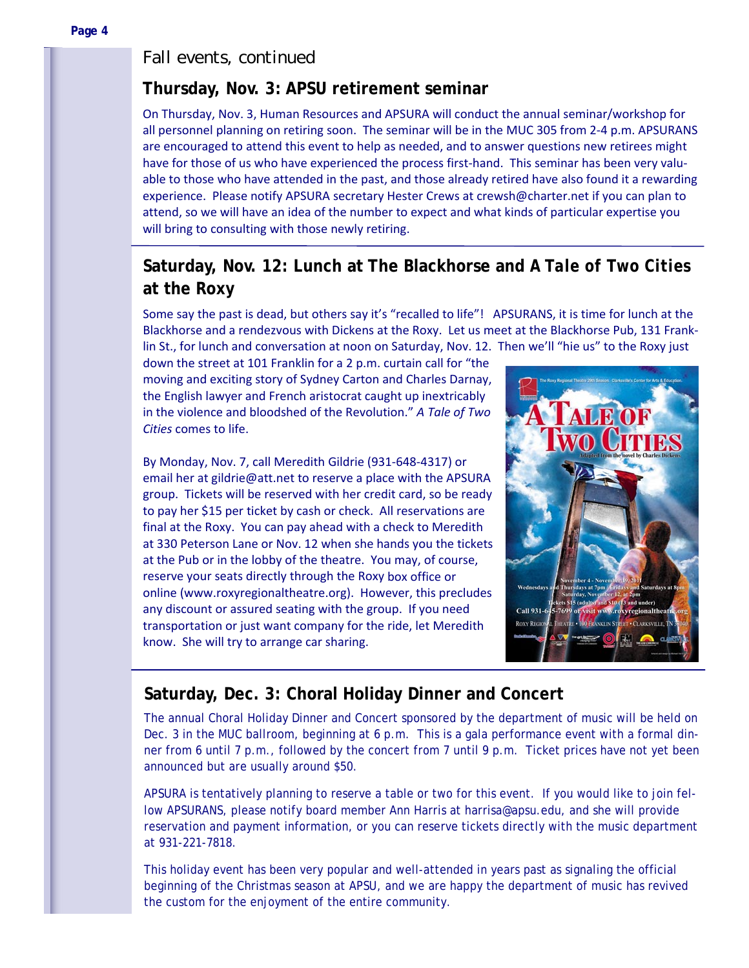#### *Fall events, continued*

#### **Thursday, Nov. 3: APSU retirement seminar**

On Thursday, Nov. 3, Human Resources and APSURA will conduct the annual seminar/workshop for all personnel planning on retiring soon. The seminar will be in the MUC 305 from 2‐4 p.m. APSURANS are encouraged to attend this event to help as needed, and to answer questions new retirees might have for those of us who have experienced the process first-hand. This seminar has been very valuable to those who have attended in the past, and those already retired have also found it a rewarding experience. Please notify APSURA secretary Hester Crews at crewsh@charter.net if you can plan to attend, so we will have an idea of the number to expect and what kinds of particular expertise you will bring to consulting with those newly retiring.

### **Saturday, Nov. 12: Lunch at The Blackhorse and** *A Tale of Two Cities*  **at the Roxy**

Some say the past is dead, but others say it's "recalled to life"! APSURANS, it is time for lunch at the Blackhorse and a rendezvous with Dickens at the Roxy. Let us meet at the Blackhorse Pub, 131 Frank‐ lin St., for lunch and conversation at noon on Saturday, Nov. 12. Then we'll "hie us" to the Roxy just

down the street at 101 Franklin for a 2 p.m. curtain call for "the moving and exciting story of Sydney Carton and Charles Darnay, the English lawyer and French aristocrat caught up inextricably in the violence and bloodshed of the Revolution." *A Tale of Two Cities* comes to life.

By Monday, Nov. 7, call Meredith Gildrie (931‐648‐4317) or email her at gildrie@att.net to reserve a place with the APSURA group. Tickets will be reserved with her credit card, so be ready to pay her \$15 per ticket by cash or check. All reservations are final at the Roxy. You can pay ahead with a check to Meredith at 330 Peterson Lane or Nov. 12 when she hands you the tickets at the Pub or in the lobby of the theatre. You may, of course, reserve your seats directly through the Roxy box office or online (www.roxyregionaltheatre.org). However, this precludes any discount or assured seating with the group. If you need transportation or just want company for the ride, let Meredith know. She will try to arrange car sharing.



#### **Saturday, Dec. 3: Choral Holiday Dinner and Concert**

The annual Choral Holiday Dinner and Concert sponsored by the department of music will be held on Dec. 3 in the MUC ballroom, beginning at 6 p.m. This is a gala performance event with a formal dinner from 6 until 7 p.m., followed by the concert from 7 until 9 p.m. Ticket prices have not yet been announced but are usually around \$50.

APSURA is tentatively planning to reserve a table or two for this event. If you would like to join fellow APSURANS, please notify board member Ann Harris at harrisa@apsu.edu, and she will provide reservation and payment information, or you can reserve tickets directly with the music department at 931-221-7818.

This holiday event has been very popular and well-attended in years past as signaling the official beginning of the Christmas season at APSU, and we are happy the department of music has revived the custom for the enjoyment of the entire community.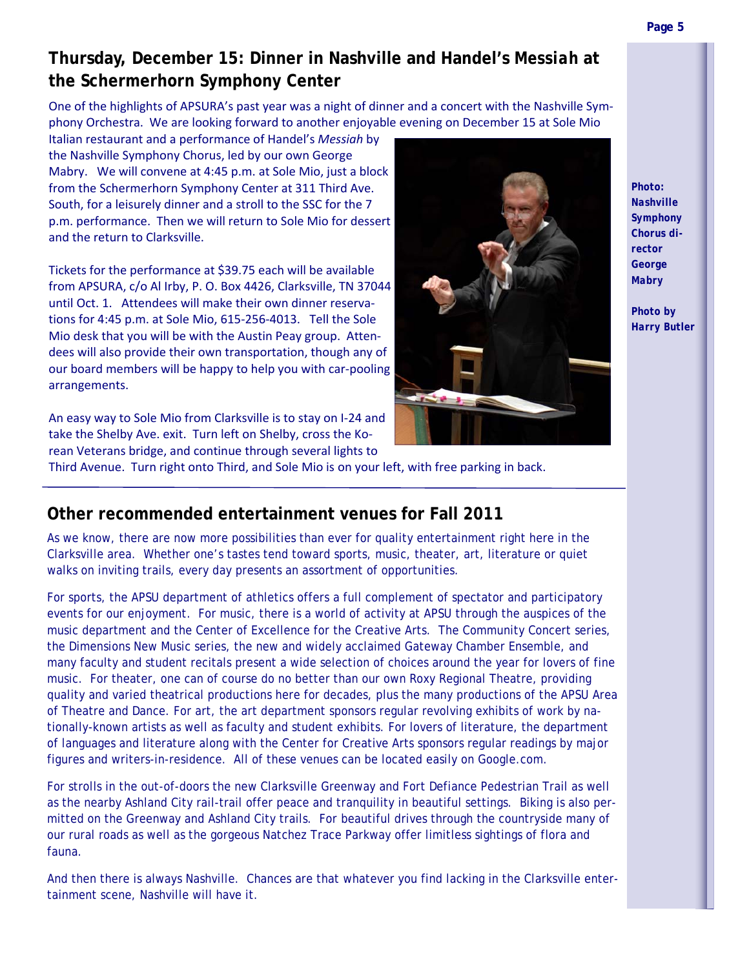### **Thursday, December 15: Dinner in Nashville and Handel's** *Messiah* **at the Schermerhorn Symphony Center**

One of the highlights of APSURA's past year was a night of dinner and a concert with the Nashville Sym‐ phony Orchestra. We are looking forward to another enjoyable evening on December 15 at Sole Mio

Italian restaurant and a performance of Handel's *Messiah* by the Nashville Symphony Chorus, led by our own George Mabry. We will convene at 4:45 p.m. at Sole Mio, just a block from the Schermerhorn Symphony Center at 311 Third Ave. South, for a leisurely dinner and a stroll to the SSC for the 7 p.m. performance. Then we will return to Sole Mio for dessert and the return to Clarksville.

Tickets for the performance at \$39.75 each will be available from APSURA, c/o Al Irby, P. O. Box 4426, Clarksville, TN 37044 until Oct. 1. Attendees will make their own dinner reservations for 4:45 p.m. at Sole Mio, 615‐256‐4013. Tell the Sole Mio desk that you will be with the Austin Peay group. Atten‐ dees will also provide their own transportation, though any of our board members will be happy to help you with car‐pooling arrangements.

An easy way to Sole Mio from Clarksville is to stay on I‐24 and take the Shelby Ave. exit. Turn left on Shelby, cross the Ko‐ rean Veterans bridge, and continue through several lights to

Third Avenue. Turn right onto Third, and Sole Mio is on your left, with free parking in back.



*Photo: Nashville Symphony Chorus director George Mabry* 

*Photo by Harry Butler* 

#### **Other recommended entertainment venues for Fall 2011**

As we know, there are now more possibilities than ever for quality entertainment right here in the Clarksville area. Whether one's tastes tend toward sports, music, theater, art, literature or quiet walks on inviting trails, every day presents an assortment of opportunities.

For sports, the APSU department of athletics offers a full complement of spectator and participatory events for our enjoyment. For music, there is a world of activity at APSU through the auspices of the music department and the Center of Excellence for the Creative Arts. The Community Concert series, the Dimensions New Music series, the new and widely acclaimed Gateway Chamber Ensemble, and many faculty and student recitals present a wide selection of choices around the year for lovers of fine music. For theater, one can of course do no better than our own Roxy Regional Theatre, providing quality and varied theatrical productions here for decades, plus the many productions of the APSU Area of Theatre and Dance. For art, the art department sponsors regular revolving exhibits of work by nationally-known artists as well as faculty and student exhibits. For lovers of literature, the department of languages and literature along with the Center for Creative Arts sponsors regular readings by major figures and writers-in-residence. All of these venues can be located easily on Google.com.

For strolls in the out-of-doors the new Clarksville Greenway and Fort Defiance Pedestrian Trail as well as the nearby Ashland City rail-trail offer peace and tranquility in beautiful settings. Biking is also permitted on the Greenway and Ashland City trails. For beautiful drives through the countryside many of our rural roads as well as the gorgeous Natchez Trace Parkway offer limitless sightings of flora and fauna.

And then there is always Nashville. Chances are that whatever you find lacking in the Clarksville entertainment scene, Nashville will have it.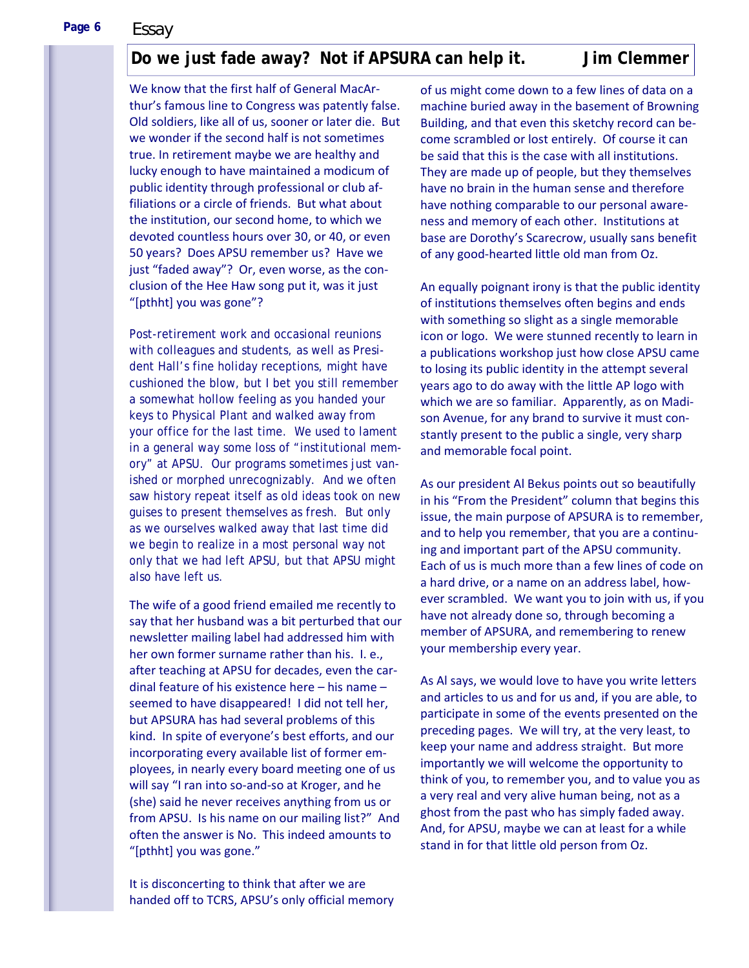**Page 6** 

*Essay* 

#### **Do we just fade away? Not if APSURA can help it. Jim Clemmer**

We know that the first half of General MacAr‐ thur's famous line to Congress was patently false. Old soldiers, like all of us, sooner or later die. But we wonder if the second half is not sometimes true. In retirement maybe we are healthy and lucky enough to have maintained a modicum of public identity through professional or club af‐ filiations or a circle of friends. But what about the institution, our second home, to which we devoted countless hours over 30, or 40, or even 50 years? Does APSU remember us? Have we just "faded away"? Or, even worse, as the con‐ clusion of the Hee Haw song put it, was it just "[pthht] you was gone"?

Post-retirement work and occasional reunions with colleagues and students, as well as President Hall's fine holiday receptions, might have cushioned the blow, but I bet you still remember a somewhat hollow feeling as you handed your keys to Physical Plant and walked away from your office for the last time. We used to lament in a general way some loss of "institutional memory" at APSU. Our programs sometimes just vanished or morphed unrecognizably. And we often saw history repeat itself as old ideas took on new guises to present themselves as fresh. But only as we ourselves walked away that last time did we begin to realize in a most personal way not only that we had left APSU, but that APSU might also have left us.

The wife of a good friend emailed me recently to say that her husband was a bit perturbed that our newsletter mailing label had addressed him with her own former surname rather than his. I. e., after teaching at APSU for decades, even the car‐ dinal feature of his existence here – his name – seemed to have disappeared! I did not tell her, but APSURA has had several problems of this kind. In spite of everyone's best efforts, and our incorporating every available list of former em‐ ployees, in nearly every board meeting one of us will say "I ran into so-and-so at Kroger, and he (she) said he never receives anything from us or from APSU. Is his name on our mailing list?" And often the answer is No. This indeed amounts to "[pthht] you was gone."

It is disconcerting to think that after we are handed off to TCRS, APSU's only official memory of us might come down to a few lines of data on a machine buried away in the basement of Browning Building, and that even this sketchy record can be‐ come scrambled or lost entirely. Of course it can be said that this is the case with all institutions. They are made up of people, but they themselves have no brain in the human sense and therefore have nothing comparable to our personal aware‐ ness and memory of each other. Institutions at base are Dorothy's Scarecrow, usually sans benefit of any good‐hearted little old man from Oz.

An equally poignant irony is that the public identity of institutions themselves often begins and ends with something so slight as a single memorable icon or logo. We were stunned recently to learn in a publications workshop just how close APSU came to losing its public identity in the attempt several years ago to do away with the little AP logo with which we are so familiar. Apparently, as on Madison Avenue, for any brand to survive it must constantly present to the public a single, very sharp and memorable focal point.

As our president Al Bekus points out so beautifully in his "From the President" column that begins this issue, the main purpose of APSURA is to remember, and to help you remember, that you are a continu‐ ing and important part of the APSU community. Each of us is much more than a few lines of code on a hard drive, or a name on an address label, how‐ ever scrambled. We want you to join with us, if you have not already done so, through becoming a member of APSURA, and remembering to renew your membership every year.

As Al says, we would love to have you write letters and articles to us and for us and, if you are able, to participate in some of the events presented on the preceding pages. We will try, at the very least, to keep your name and address straight. But more importantly we will welcome the opportunity to think of you, to remember you, and to value you as a very real and very alive human being, not as a ghost from the past who has simply faded away. And, for APSU, maybe we can at least for a while stand in for that little old person from Oz.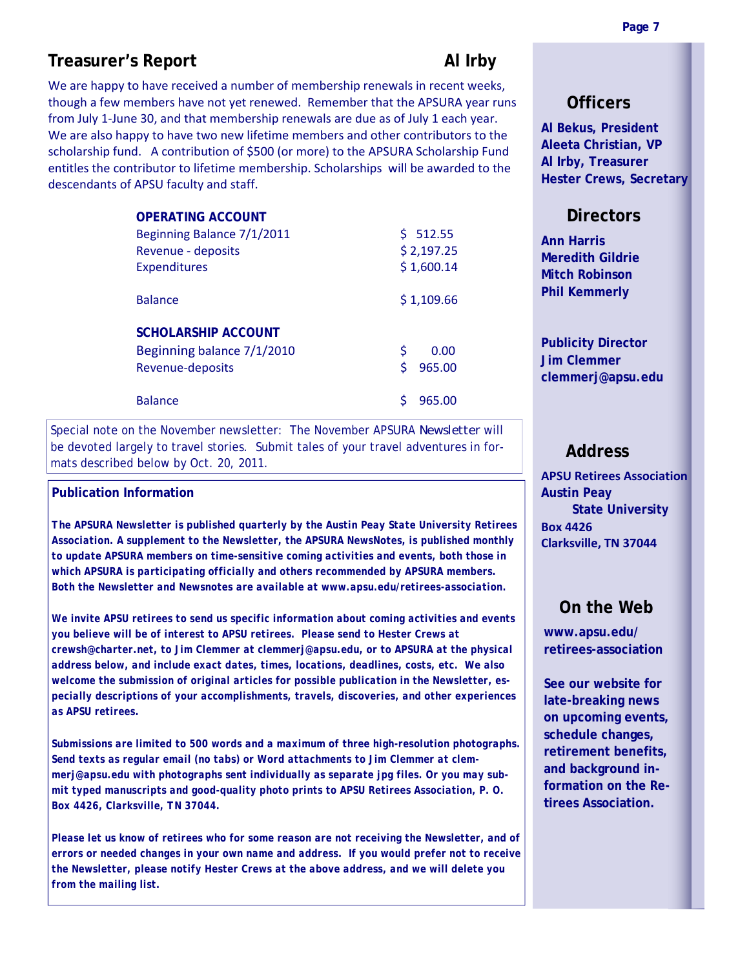#### **Treasurer's Report All Irby All Irby**

We are happy to have received a number of membership renewals in recent weeks, though a few members have not yet renewed. Remember that the APSURA year runs from July 1-June 30, and that membership renewals are due as of July 1 each year. We are also happy to have two new lifetime members and other contributors to the scholarship fund. A contribution of \$500 (or more) to the APSURA Scholarship Fund entitles the contributor to lifetime membership. Scholarships will be awarded to the descendants of APSU faculty and staff.

| <b>OPERATING ACCOUNT</b>   |              |
|----------------------------|--------------|
| Beginning Balance 7/1/2011 | \$512.55     |
| Revenue - deposits         | \$2,197.25   |
| <b>Expenditures</b>        | \$1,600.14   |
| <b>Balance</b>             | \$1,109.66   |
| <b>SCHOLARSHIP ACCOUNT</b> |              |
| Beginning balance 7/1/2010 | \$<br>0.00   |
| Revenue-deposits           | \$<br>965.00 |
| <b>Balance</b>             | 965.00       |

Special note on the November newsletter: The November APSURA *Newsletter* will be devoted largely to travel stories. Submit tales of your travel adventures in formats described below by Oct. 20, 2011.

#### **Publication Information**

*The APSURA Newsletter is published quarterly by the Austin Peay State University Retirees Association. A supplement to the Newsletter, the APSURA NewsNotes, is published monthly to update APSURA members on time-sensitive coming activities and events, both those in which APSURA is participating officially and others recommended by APSURA members. Both the Newsletter and Newsnotes are available at www.apsu.edu/retirees-association.* 

*We invite APSU retirees to send us specific information about coming activities and events you believe will be of interest to APSU retirees. Please send to Hester Crews at crewsh@charter.net, to Jim Clemmer at clemmerj@apsu.edu, or to APSURA at the physical address below, and include exact dates, times, locations, deadlines, costs, etc. We also welcome the submission of original articles for possible publication in the Newsletter, especially descriptions of your accomplishments, travels, discoveries, and other experiences as APSU retirees.* 

*Submissions are limited to 500 words and a maximum of three high-resolution photographs. Send texts as regular email (no tabs) or Word attachments to Jim Clemmer at clemmerj@apsu.edu with photographs sent individually as separate jpg files. Or you may submit typed manuscripts and good-quality photo prints to APSU Retirees Association, P. O. Box 4426, Clarksville, TN 37044.* 

Please let us know of retirees who for some reason are not receiving the Newsletter, and of *errors or needed changes in your own name and address. If you would prefer not to receive the Newsletter, please notify Hester Crews at the above address, and we will delete you from the mailing list.* 

#### **Officers**

**Al Bekus, President Aleeta Christian, VP Al Irby, Treasurer Hester Crews, Secretary** 

#### **Directors**

**Ann Harris Meredith Gildrie Mitch Robinson Phil Kemmerly** 

**Publicity Director Jim Clemmer clemmerj@apsu.edu** 

#### **Address**

**APSU Retirees Association Austin Peay State University Box 4426 Clarksville, TN 37044**

#### **On the Web**

**www.apsu.edu/ retirees-association** 

**See our website for late-breaking news on upcoming events, schedule changes, retirement benefits, and background information on the Retirees Association.**